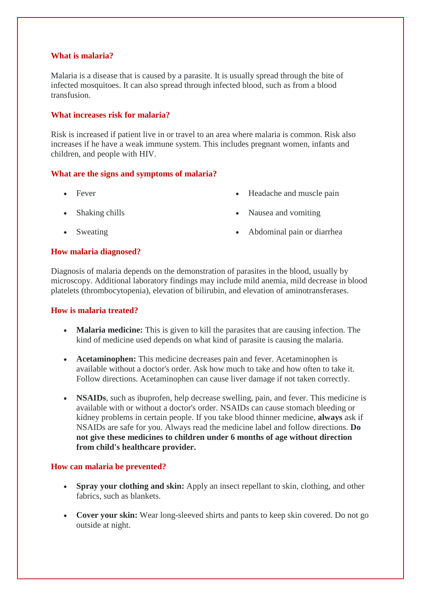## **What is malaria?**

Malaria is a disease that is caused by a parasite. It is usually spread through the bite of infected mosquitoes. It can also spread through infected blood, such as from a blood transfusion.

## **What increases risk for malaria?**

Risk is increased if patient live in or travel to an area where malaria is common. Risk also increases if he have a weak immune system. This includes pregnant women, infants and children, and people with HIV.

# **What are the signs and symptoms of malaria?**

- Fever
- Shaking chills
- Sweating
- Headache and muscle pain
- Nausea and vomiting
- Abdominal pain or diarrhea

# **How malaria diagnosed?**

Diagnosis of malaria depends on the demonstration of parasites in the blood, usually by microscopy. Additional laboratory findings may include mild anemia, mild decrease in blood platelets (thrombocytopenia), elevation of bilirubin, and elevation of aminotransferases.

### **How is malaria treated?**

- **Malaria medicine:** This is given to kill the parasites that are causing infection. The kind of medicine used depends on what kind of parasite is causing the malaria.
- **Acetaminophen:** This medicine decreases pain and fever. Acetaminophen is available without a doctor's order. Ask how much to take and how often to take it. Follow directions. Acetaminophen can cause liver damage if not taken correctly.
- **NSAIDs**, such as ibuprofen, help decrease swelling, pain, and fever. This medicine is available with or without a doctor's order. NSAIDs can cause stomach bleeding or kidney problems in certain people. If you take blood thinner medicine, **always** ask if NSAIDs are safe for you. Always read the medicine label and follow directions. **Do not give these medicines to children under 6 months of age without direction from child's healthcare provider.**

### **How can malaria be prevented?**

- **Spray your clothing and skin:** Apply an insect repellant to skin, clothing, and other fabrics, such as blankets.
- **Cover your skin:** Wear long-sleeved shirts and pants to keep skin covered. Do not go outside at night.